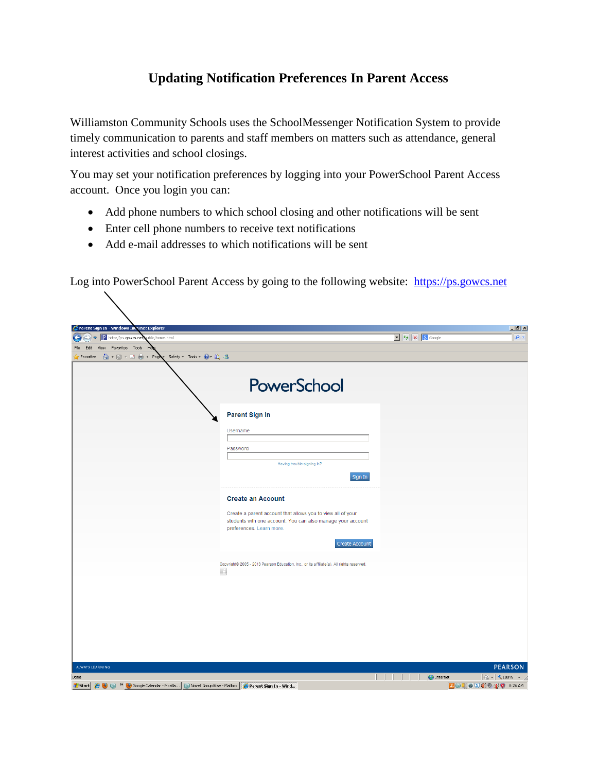## **Updating Notification Preferences In Parent Access**

Williamston Community Schools uses the SchoolMessenger Notification System to provide timely communication to parents and staff members on matters such as attendance, general interest activities and school closings.

You may set your notification preferences by logging into your PowerSchool Parent Access account. Once you login you can:

- Add phone numbers to which school closing and other notifications will be sent
- Enter cell phone numbers to receive text notifications
- Add e-mail addresses to which notifications will be sent

Log into PowerSchool Parent Access by going to the following website: [https://ps.gowcs.net](https://ps.gowcs.net/)

| Parent Sign In - Windows Internet Explorer                                                                                                                           |                                                                                           |                                                                     | $\Box$                                                                                                  |
|----------------------------------------------------------------------------------------------------------------------------------------------------------------------|-------------------------------------------------------------------------------------------|---------------------------------------------------------------------|---------------------------------------------------------------------------------------------------------|
| P http://ps.gowcs.net<br>$\left( \bullet \right)$<br>ublic/home.html<br>$\bullet$                                                                                    |                                                                                           | $\boxed{\cdot}$ $\boxed{\cdot}$ $\boxed{\times}$ $\boxed{8}$ Google | $\alpha$                                                                                                |
| View Favorites Tools He<br>File<br>Edit                                                                                                                              |                                                                                           |                                                                     |                                                                                                         |
|                                                                                                                                                                      |                                                                                           |                                                                     |                                                                                                         |
|                                                                                                                                                                      |                                                                                           |                                                                     |                                                                                                         |
|                                                                                                                                                                      | PowerSchool                                                                               |                                                                     |                                                                                                         |
|                                                                                                                                                                      | <b>Parent Sign In</b>                                                                     |                                                                     |                                                                                                         |
|                                                                                                                                                                      | Username                                                                                  |                                                                     |                                                                                                         |
|                                                                                                                                                                      | Password                                                                                  |                                                                     |                                                                                                         |
|                                                                                                                                                                      | Having trouble signing in?                                                                |                                                                     |                                                                                                         |
|                                                                                                                                                                      | Sign In                                                                                   |                                                                     |                                                                                                         |
|                                                                                                                                                                      | <b>Create an Account</b>                                                                  |                                                                     |                                                                                                         |
|                                                                                                                                                                      | Create a parent account that allows you to view all of your                               |                                                                     |                                                                                                         |
|                                                                                                                                                                      | students with one account. You can also manage your account<br>preferences. Learn more.   |                                                                     |                                                                                                         |
|                                                                                                                                                                      | Create Account                                                                            |                                                                     |                                                                                                         |
|                                                                                                                                                                      | Copyright® 2005 - 2013 Pearson Education, Inc., or its affiliate(s). All rights reserved. |                                                                     |                                                                                                         |
|                                                                                                                                                                      | n                                                                                         |                                                                     |                                                                                                         |
|                                                                                                                                                                      |                                                                                           |                                                                     |                                                                                                         |
|                                                                                                                                                                      |                                                                                           |                                                                     |                                                                                                         |
|                                                                                                                                                                      |                                                                                           |                                                                     |                                                                                                         |
|                                                                                                                                                                      |                                                                                           |                                                                     |                                                                                                         |
|                                                                                                                                                                      |                                                                                           |                                                                     |                                                                                                         |
|                                                                                                                                                                      |                                                                                           |                                                                     |                                                                                                         |
| ALWAYS LEARNING                                                                                                                                                      |                                                                                           |                                                                     | <b>PEARSON</b>                                                                                          |
| Done<br><b>d</b> Start $\bigcirc$ ( $\bigcirc$ ) $\circ$ ( $\circ$ ) Google Calendar - Mozilla ( $\circ$ Novell GroupWise - Mailbox $\bigcirc$ Parent Sign In - Wind |                                                                                           | $\bigcirc$ Internet                                                 | $\sqrt{\frac{1}{10}}$ $\sqrt{\frac{6}{100\%}}$ $\sqrt{\frac{1}{100\%}}$<br>BO 3 0 5 1 0 1 0 1 0 3 26 AM |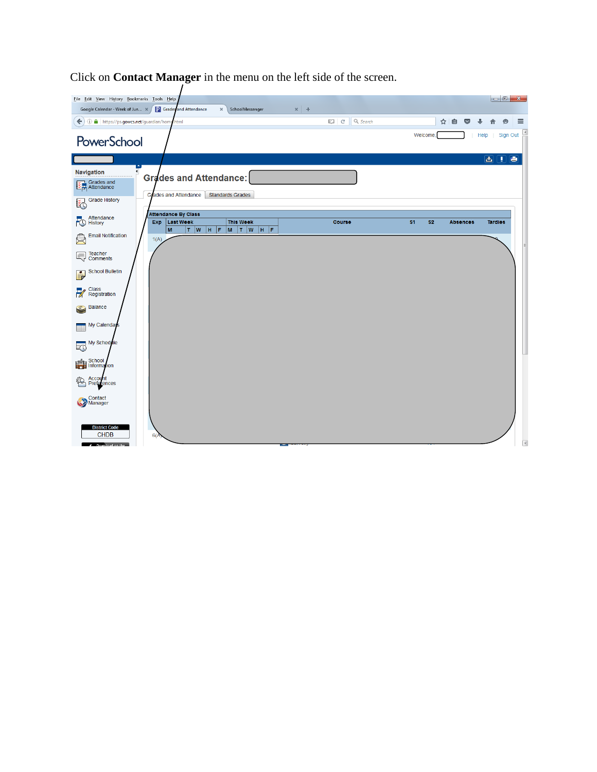

Click on **Contact Manager** in the menu on the left side of the screen.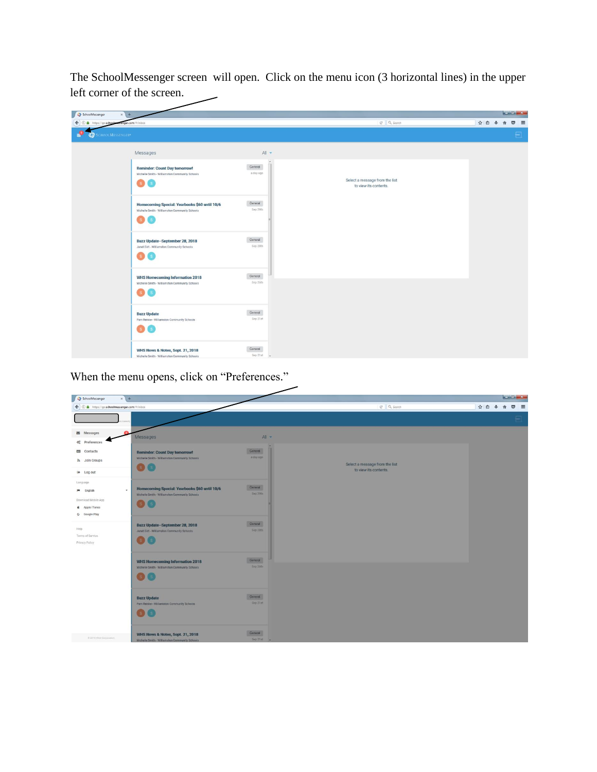The SchoolMessenger screen will open. Click on the menu icon (3 horizontal lines) in the upper left corner of the screen.

| $x +$<br>SchoolMessenger                                                                                                    |                                          |                                                         | $x = 0$ and $x =$    |
|-----------------------------------------------------------------------------------------------------------------------------|------------------------------------------|---------------------------------------------------------|----------------------|
| enger.com/#/inbox<br>$\leftarrow$<br>https://go.school<br>$\omega$<br>٠                                                     |                                          | C Q Search                                              | ☆ 自 → 合<br>$\circ$ = |
| SCHOOLMESSENGER®<br>÷                                                                                                       |                                          |                                                         | $\blacksquare$       |
| Messages                                                                                                                    | All -                                    |                                                         |                      |
| <b>Reminder: Count Day tomorrow!</b><br>Michelle Smith - Williamston Community Schools<br><b>S</b><br><b>S</b>              | $\blacktriangle$<br>General<br>a day ago | Select a message from the list<br>to view its contents. |                      |
| Homecoming Special: Yearbooks \$60 until 10/6<br>Michelle Smith - Williamston Community Schools<br><b>S</b><br>$\mathbf{s}$ | General<br>Sep 29th                      |                                                         |                      |
| Buzz Update-September 28, 2018<br>Janet Eidt - Williamston Community Schools                                                | General<br>Sep 28th                      |                                                         |                      |
| <b>WHS Homecoming Information 2018</b><br>Michelle Smith - Williamston Community Schools<br>$\mathbf{s}$                    | General<br>Sep 26th                      |                                                         |                      |
| <b>Buzz Update</b><br>Pam Reinke - Williamston Community Schools                                                            | General<br>Sep 21st                      |                                                         |                      |
| WHS News & Notes, Sept. 21, 2018<br>Michelle Smith - Williamston Community Schools                                          | General<br>Sep 21st $-$                  |                                                         |                      |

When the menu opens, click on "Preferences."

| SchoolMessenger                              | $x +$                                                                                    |           |                                                         |             | $x = 0$ and $x =$ |
|----------------------------------------------|------------------------------------------------------------------------------------------|-----------|---------------------------------------------------------|-------------|-------------------|
| ← O A https://go.schoolmessenger.com/#/inbox |                                                                                          |           | C <sup>x</sup> Q, Search                                | ☆ ● ↓ ☆ ◎ 三 |                   |
|                                              |                                                                                          |           |                                                         |             | $\sqrt{2}$        |
| Messages                                     | Messages                                                                                 | $All -$   |                                                         |             |                   |
| o <sub>c</sub> <sup>e</sup> Preferences      |                                                                                          |           |                                                         |             |                   |
| <b>EB</b> Contacts                           | <b>Reminder: Count Day tomorrow!</b>                                                     | General   |                                                         |             |                   |
| a) Join Groups                               | Michelle Smith - Williamston Community Schools                                           | a day ago |                                                         |             |                   |
| @ Log out                                    | s(s)                                                                                     |           | Select a message from the list<br>to view its contents. |             |                   |
|                                              |                                                                                          |           |                                                         |             |                   |
| Language<br><b>PM</b> English                | Homecoming Special: Yearbooks \$60 until 10/6<br>$\mathbf{v}$                            | General   |                                                         |             |                   |
| Download Mobile App                          | Michelle Smith - Williamston Community Schools                                           | Sep 29th  |                                                         |             |                   |
| <b>d</b> Apple iTunes                        |                                                                                          |           |                                                         |             |                   |
| G Google Play                                |                                                                                          |           |                                                         |             |                   |
|                                              | <b>Buzz Update-September 28, 2018</b>                                                    | General   |                                                         |             |                   |
| Help<br>Terms of Service                     | Janet Eidt - Williamston Community Schools                                               | Sep 28th  |                                                         |             |                   |
| Privacy Policy                               | $\mathbf{s}$                                                                             |           |                                                         |             |                   |
|                                              |                                                                                          | General   |                                                         |             |                   |
|                                              | <b>WHS Homecoming Information 2018</b><br>Michelle Smith - Williamston Community Schools | Sep 26th  |                                                         |             |                   |
|                                              | $\mathbf{s}$                                                                             |           |                                                         |             |                   |
|                                              |                                                                                          |           |                                                         |             |                   |
|                                              | <b>Buzz Update</b>                                                                       | General   |                                                         |             |                   |
|                                              | Pam Reinke - Williamston Community Schools                                               | Sep 21st  |                                                         |             |                   |
|                                              | $\mathbf{s}$                                                                             |           |                                                         |             |                   |
|                                              |                                                                                          |           |                                                         |             |                   |
|                                              | WHS News & Notes, Sept. 21, 2018                                                         | General   |                                                         |             |                   |
| @ 2018 West Corporation.                     | Michelle Smith - Williamston Community Schools                                           | Sep 21st  |                                                         |             |                   |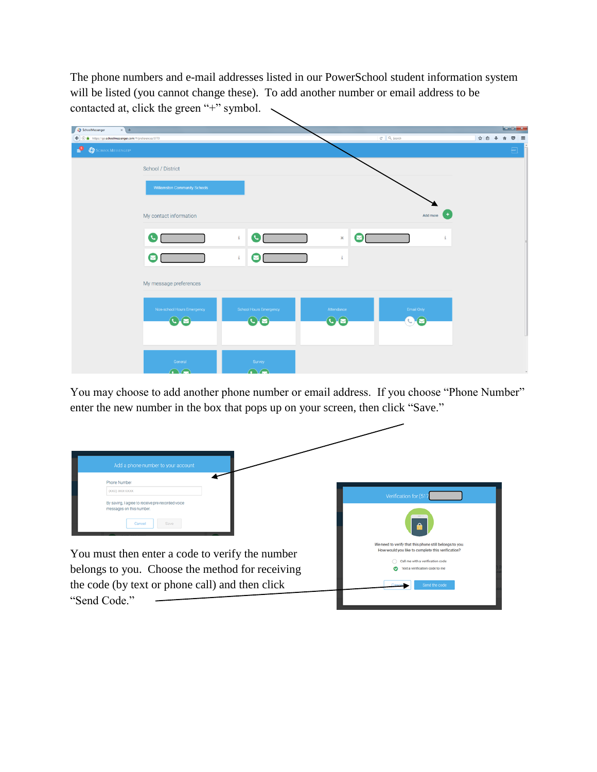The phone numbers and e-mail addresses listed in our PowerSchool student information system will be listed (you cannot change these). To add another number or email address to be contacted at, click the green "+" symbol.

| $x +$<br>SchoolMessenger<br>10 A https://go.schoolmessenger.com/#/preferences/3773<br>$\leftarrow$ |                                      |                                         |                     | C Q Search          | $\left  - \right $ of $\left  x - \right $<br>☆ 自 ↓<br>$\bullet$ =<br>音 |
|----------------------------------------------------------------------------------------------------|--------------------------------------|-----------------------------------------|---------------------|---------------------|-------------------------------------------------------------------------|
| $\bullet$ SCHOOLMESSENGER*                                                                         |                                      |                                         |                     |                     | $\boxed{\phantom{a}}$                                                   |
|                                                                                                    | School / District                    |                                         |                     |                     |                                                                         |
|                                                                                                    | <b>Williamston Community Schools</b> |                                         |                     |                     |                                                                         |
|                                                                                                    | My contact information               |                                         |                     | Add more            |                                                                         |
|                                                                                                    | O                                    | $\bullet$ $\blacksquare$<br>$\mathbf i$ | Ø<br>$\pmb{\times}$ | $\ddot{\mathbf{1}}$ |                                                                         |
|                                                                                                    | Ø                                    | $\ddot{\rm a}$<br>Ø                     | $\ddot{\mathbf{1}}$ |                     |                                                                         |
|                                                                                                    | My message preferences               |                                         |                     |                     |                                                                         |
|                                                                                                    | Non-school Hours Emergency           | School Hours Emergency                  | Attendance          | Email Only          |                                                                         |
|                                                                                                    | O <sub>2</sub>                       | $\odot$                                 | $\odot$             | $\odot$             |                                                                         |
|                                                                                                    |                                      |                                         |                     |                     |                                                                         |
|                                                                                                    | General<br>$\bigcap$                 | Survey<br>$\bigcap$                     |                     |                     |                                                                         |

You may choose to add another phone number or email address. If you choose "Phone Number" enter the new number in the box that pops up on your screen, then click "Save."

| Add a phone number to your account                                                                                                                                    |                                                                                                                                                                                                     |
|-----------------------------------------------------------------------------------------------------------------------------------------------------------------------|-----------------------------------------------------------------------------------------------------------------------------------------------------------------------------------------------------|
| Phone Number<br>(XXX) XXX-XXXX<br>By saving, I agree to receive pre-recorded voice<br>messages on this number.<br>Cancel                                              | Verification for (51)<br><b>A</b>                                                                                                                                                                   |
| You must then enter a code to verify the number<br>belongs to you. Choose the method for receiving<br>the code (by text or phone call) and then click<br>"Send Code." | We need to verify that this phone still belongs to you.<br>How would you like to complete this verification?<br>Call me with a verification code<br>Text a verification code to me<br>Send the code |